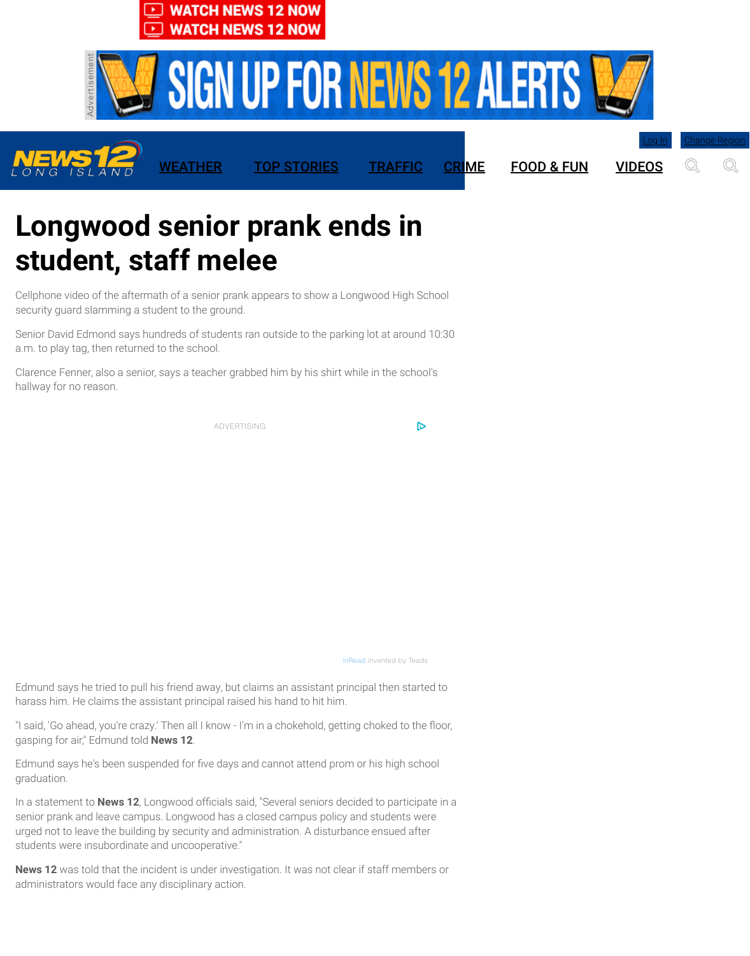a.m. to play tag, then retur[ned to the school.](http://longisland.news12.com/category/324508/live-streaming)

Clarence Fenner, also a se[nior, says a teacher grabbed him by his s](http://longisland.news12.com/category/324508/live-streaming)hirt while in the school's hallway for no reason.

[ADVERTISING](http://googleads.g.doubleclick.net/pcs/click?xai=AKAOjssYt9o2VBGvZYddlo97Dr3IgVLaj7p9I9WOovesGDIh6NM9Aty9r---DMKJ0Yk5ad79yLCY3veRpMM_eiktiBWwIMhP3zVT89WGEnuw_faC5SSIC2t7pzybHAKfTVUHvWcswqxKgMTDkA2XzuzLXoTl-UcqQmGNswxkFahuCc8KeXQgbNCaXg3ea6izlR9DER3PocKkOKcH20GEoNM_XrIHyzCSvCpGfsN_RKHK3o9Tx6fIKgtw7HbWDn8rNwnhoc0w&sai=AMfl-YTolahZ7-Prw2KEIL9uqB_qNp5s768rfwZqCDGMrHXpJSx1UrRAW7W4DBa0MVQsu6UXKXf3WMLiQUrSjijwtvf_EKzKhnWONfEKPVMZng&sig=Cg0ArKJSzLOLeyqgnfjJ&adurl=http://adx.news12.com/apps/&nx=CLICK_X&ny=CLICK_Y)

D

inRead invented by Teads

Edmund says he tried to pull his friend away, but claims an assistant principal then started to harass him. He claims the assistant principal raised his hand to hit him.

"I said, 'Go ahead, you're crazy.' Then all I know - I'm in a chokehold, getting choked to the floor, gasping for air," Edmund told **News 12**.

Edmund says he's been suspended for five days and cannot attend prom or his high school graduation.

In a statement to **News 12**, Longwood officials said, "Several seniors decided to participate in a senior prank and leave campus. Longwood has a closed campus policy and students were urged not to leave the building by security and administration. A disturbance ensued after students were insubordinate and uncooperative." administrators would face any disciplinary action.<br>Clarence Fenner, also a senior, says a teacher grad<br>hallway for no reason.<br>ADVERTI<br>Edmund says he tried to pull his friend away, but charass him. He claims the assistant p

**News 12** was told that the incident is under investigation. It was not clear if staff members or